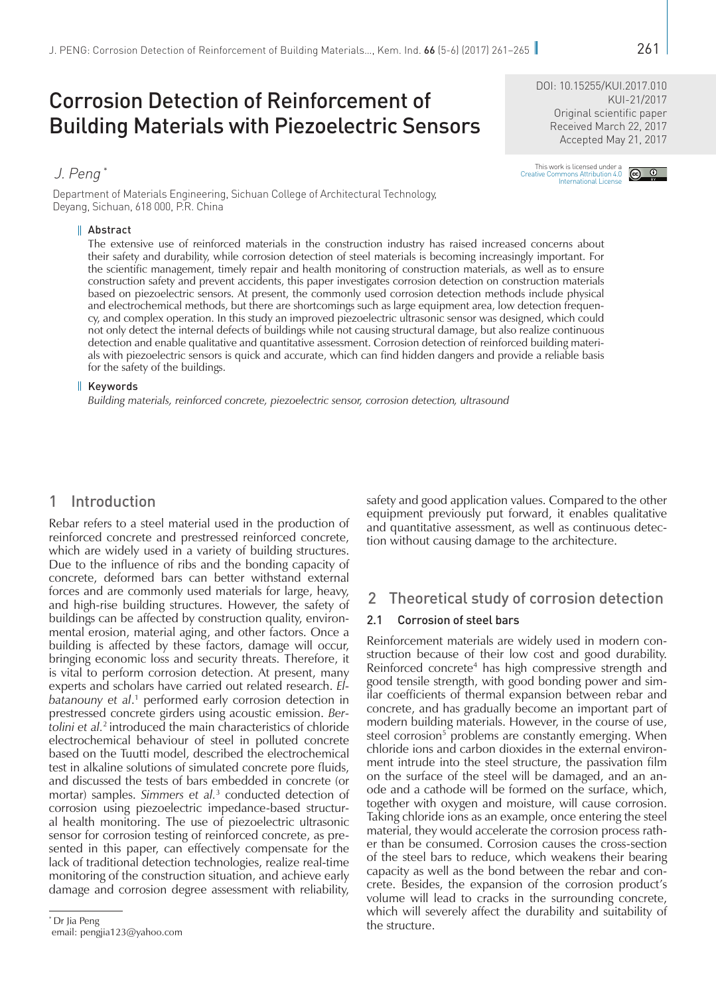KUI-21/2017

# Corrosion Detection of Reinforcement of Building Materials with Piezoelectric Sensors

Department of Materials Engineering, Sichuan College of Architectural Technology, Deyang, Sichuan, 618 000, P.R. China

#### Abstract

The extensive use of reinforced materials in the construction industry has raised increased concerns about their safety and durability, while corrosion detection of steel materials is becoming increasingly important. For the scientific management, timely repair and health monitoring of construction materials, as well as to ensure construction safety and prevent accidents, this paper investigates corrosion detection on construction materials based on piezoelectric sensors. At present, the commonly used corrosion detection methods include physical and electrochemical methods, but there are shortcomings such as large equipment area, low detection frequency, and complex operation. In this study an improved piezoelectric ultrasonic sensor was designed, which could not only detect the internal defects of buildings while not causing structural damage, but also realize continuous detection and enable qualitative and quantitative assessment. Corrosion detection of reinforced building materials with piezoelectric sensors is quick and accurate, which can find hidden dangers and provide a reliable basis for the safety of the buildings.

#### $\parallel$  Keywords

*Building materials, reinforced concrete, piezoelectric sensor, corrosion detection, ultrasound*

# 1 Introduction

Rebar refers to a steel material used in the production of reinforced concrete and prestressed reinforced concrete, which are widely used in a variety of building structures. Due to the influence of ribs and the bonding capacity of concrete, deformed bars can better withstand external forces and are commonly used materials for large, heavy, and high-rise building structures. However, the safety of buildings can be affected by construction quality, environmental erosion, material aging, and other factors. Once a building is affected by these factors, damage will occur, bringing economic loss and security threats. Therefore, it is vital to perform corrosion detection. At present, many experts and scholars have carried out related research. *El*batanouny et al.<sup>1</sup> performed early corrosion detection in prestressed concrete girders using acoustic emission. *Bertolini et al.*2 introduced the main characteristics of chloride electrochemical behaviour of steel in polluted concrete based on the Tuutti model, described the electrochemical test in alkaline solutions of simulated concrete pore fluids, and discussed the tests of bars embedded in concrete (or mortar) samples. *Simmers et al.*<sup>3</sup> conducted detection of corrosion using piezoelectric impedance-based structural health monitoring. The use of piezoelectric ultrasonic sensor for corrosion testing of reinforced concrete, as presented in this paper, can effectively compensate for the lack of traditional detection technologies, realize real-time monitoring of the construction situation, and achieve early damage and corrosion degree assessment with reliability,

the structure. \* Dr Jia Peng email: [pengjia123@yahoo.com](mailto:pengjia123%40yahoo.com?subject=)

safety and good application values. Compared to the other equipment previously put forward, it enables qualitative and quantitative assessment, as well as continuous detection without causing damage to the architecture.

# 2 Theoretical study of corrosion detection

### 2.1 Corrosion of steel bars

Reinforcement materials are widely used in modern construction because of their low cost and good durability. Reinforced concrete<sup>4</sup> has high compressive strength and good tensile strength, with good bonding power and similar coefficients of thermal expansion between rebar and concrete, and has gradually become an important part of modern building materials. However, in the course of use, steel corrosion<sup>5</sup> problems are constantly emerging. When chloride ions and carbon dioxides in the external environment intrude into the steel structure, the passivation film on the surface of the steel will be damaged, and an anode and a cathode will be formed on the surface, which, together with oxygen and moisture, will cause corrosion. Taking chloride ions as an example, once entering the steel material, they would accelerate the corrosion process rather than be consumed. Corrosion causes the cross-section of the steel bars to reduce, which weakens their bearing capacity as well as the bond between the rebar and concrete. Besides, the expansion of the corrosion product's volume will lead to cracks in the surrounding concrete, which will severely affect the durability and suitability of

# This work is licensed under a<br>Creative Commons Attribution 4.0<br>[International License](http://creativecommons.org/licenses/by/4.0/)

DOI: [10.15255/KUI.2017.010](https://doi.org/10.15255/KUI.2017.010)

Original scientific paper Received March 22, 2017 Accepted May 21, 2017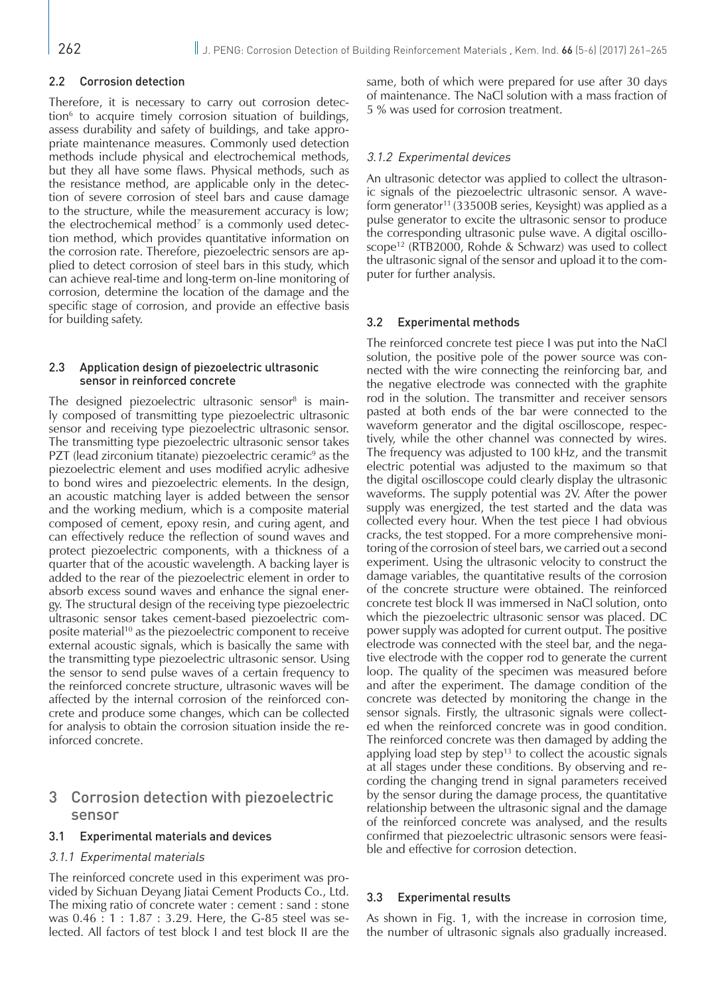#### 2.2 Corrosion detection

Therefore, it is necessary to carry out corrosion detection6 to acquire timely corrosion situation of buildings, assess durability and safety of buildings, and take appropriate maintenance measures. Commonly used detection methods include physical and electrochemical methods, but they all have some flaws. Physical methods, such as the resistance method, are applicable only in the detection of severe corrosion of steel bars and cause damage to the structure, while the measurement accuracy is low; the electrochemical method $^7$  is a commonly used detection method, which provides quantitative information on the corrosion rate. Therefore, piezoelectric sensors are applied to detect corrosion of steel bars in this study, which can achieve real-time and long-term on-line monitoring of corrosion, determine the location of the damage and the specific stage of corrosion, and provide an effective basis for building safety.

#### 2.3 Application design of piezoelectric ultrasonic sensor in reinforced concrete

The designed piezoelectric ultrasonic sensor<sup>8</sup> is mainly composed of transmitting type piezoelectric ultrasonic sensor and receiving type piezoelectric ultrasonic sensor. The transmitting type piezoelectric ultrasonic sensor takes PZT (lead zirconium titanate) piezoelectric ceramic<sup>9</sup> as the piezoelectric element and uses modified acrylic adhesive to bond wires and piezoelectric elements. In the design, an acoustic matching layer is added between the sensor and the working medium, which is a composite material composed of cement, epoxy resin, and curing agent, and can effectively reduce the reflection of sound waves and protect piezoelectric components, with a thickness of a quarter that of the acoustic wavelength. A backing layer is added to the rear of the piezoelectric element in order to absorb excess sound waves and enhance the signal energy. The structural design of the receiving type piezoelectric ultrasonic sensor takes cement-based piezoelectric composite material10 as the piezoelectric component to receive external acoustic signals, which is basically the same with the transmitting type piezoelectric ultrasonic sensor. Using the sensor to send pulse waves of a certain frequency to the reinforced concrete structure, ultrasonic waves will be affected by the internal corrosion of the reinforced concrete and produce some changes, which can be collected for analysis to obtain the corrosion situation inside the reinforced concrete.

# 3 Corrosion detection with piezoelectric sensor

#### 3.1 Experimental materials and devices

#### 3.1.1 Experimental materials

The reinforced concrete used in this experiment was provided by Sichuan Deyang Jiatai Cement Products Co., Ltd. The mixing ratio of concrete water : cement : sand : stone was 0.46 : 1 : 1.87 : 3.29. Here, the G-85 steel was selected. All factors of test block I and test block II are the

same, both of which were prepared for use after 30 days of maintenance. The NaCl solution with a mass fraction of 5 % was used for corrosion treatment.

#### 3.1.2 Experimental devices

An ultrasonic detector was applied to collect the ultrasonic signals of the piezoelectric ultrasonic sensor. A waveform generator<sup>11</sup> (33500B series, Keysight) was applied as a pulse generator to excite the ultrasonic sensor to produce the corresponding ultrasonic pulse wave. A digital oscilloscope<sup>12</sup> (RTB2000, Rohde & Schwarz) was used to collect the ultrasonic signal of the sensor and upload it to the computer for further analysis.

#### 3.2 Experimental methods

The reinforced concrete test piece I was put into the NaCl solution, the positive pole of the power source was connected with the wire connecting the reinforcing bar, and the negative electrode was connected with the graphite rod in the solution. The transmitter and receiver sensors pasted at both ends of the bar were connected to the waveform generator and the digital oscilloscope, respectively, while the other channel was connected by wires. The frequency was adjusted to 100 kHz, and the transmit electric potential was adjusted to the maximum so that the digital oscilloscope could clearly display the ultrasonic waveforms. The supply potential was 2V. After the power supply was energized, the test started and the data was collected every hour. When the test piece I had obvious cracks, the test stopped. For a more comprehensive monitoring of the corrosion of steel bars, we carried out a second experiment. Using the ultrasonic velocity to construct the damage variables, the quantitative results of the corrosion of the concrete structure were obtained. The reinforced concrete test block II was immersed in NaCl solution, onto which the piezoelectric ultrasonic sensor was placed. DC power supply was adopted for current output. The positive electrode was connected with the steel bar, and the negative electrode with the copper rod to generate the current loop. The quality of the specimen was measured before and after the experiment. The damage condition of the concrete was detected by monitoring the change in the sensor signals. Firstly, the ultrasonic signals were collected when the reinforced concrete was in good condition. The reinforced concrete was then damaged by adding the applying load step by step<sup>13</sup> to collect the acoustic signals at all stages under these conditions. By observing and recording the changing trend in signal parameters received by the sensor during the damage process, the quantitative relationship between the ultrasonic signal and the damage of the reinforced concrete was analysed, and the results confirmed that piezoelectric ultrasonic sensors were feasible and effective for corrosion detection.

#### 3.3 Experimental results

As shown in Fig. 1, with the increase in corrosion time, the number of ultrasonic signals also gradually increased.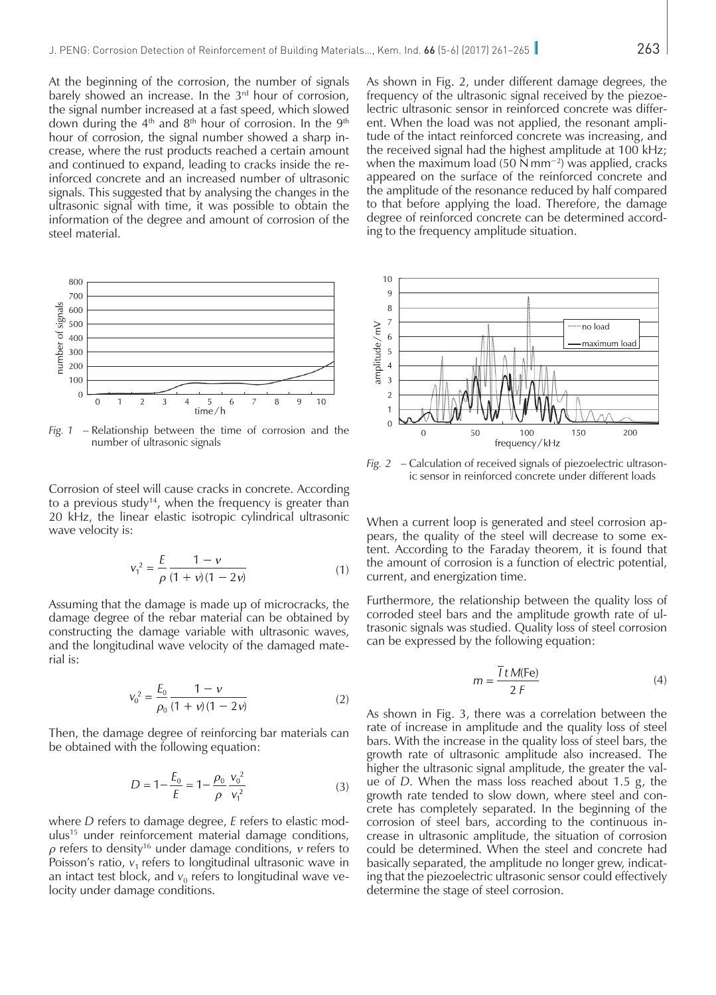At the beginning of the corrosion, the number of signals barely showed an increase. In the 3<sup>rd</sup> hour of corrosion, the signal number increased at a fast speed, which slowed down during the  $4<sup>th</sup>$  and  $8<sup>th</sup>$  hour of corrosion. In the  $9<sup>th</sup>$ hour of corrosion, the signal number showed a sharp increase, where the rust products reached a certain amount and continued to expand, leading to cracks inside the reinforced concrete and an increased number of ultrasonic signals. This suggested that by analysing the changes in the ultrasonic signal with time, it was possible to obtain the information of the degree and amount of corrosion of the steel material.



*Fig. 1* – Relationship between the time of corrosion and the number of ultrasonic signals

Corrosion of steel will cause cracks in concrete. According to a previous study<sup>14</sup>, when the frequency is greater than 20 kHz, the linear elastic isotropic cylindrical ultrasonic wave velocity is:

$$
v_1^2 = \frac{E}{\rho} \frac{1 - v}{(1 + v)(1 - 2v)}\tag{1}
$$

Assuming that the damage is made up of microcracks, the damage degree of the rebar material can be obtained by constructing the damage variable with ultrasonic waves, and the longitudinal wave velocity of the damaged material is:

$$
v_0^2 = \frac{E_0}{\rho_0} \frac{1 - v}{(1 + v)(1 - 2v)}
$$
 (2)

Then, the damage degree of reinforcing bar materials can be obtained with the following equation:

$$
D = 1 - \frac{E_0}{E} = 1 - \frac{\rho_0}{\rho} \frac{v_0^2}{v_1^2}
$$
 (3)

where *D* refers to damage degree, *E* refers to elastic modulus15 under reinforcement material damage conditions, *ρ* refers to density16 under damage conditions, *ν* refers to Poisson's ratio,  $v_1$  refers to longitudinal ultrasonic wave in an intact test block, and  $v_0$  refers to longitudinal wave velocity under damage conditions.

As shown in Fig. 2, under different damage degrees, the frequency of the ultrasonic signal received by the piezoelectric ultrasonic sensor in reinforced concrete was different. When the load was not applied, the resonant amplitude of the intact reinforced concrete was increasing, and the received signal had the highest amplitude at 100 kHz; when the maximum load (50 N mm<sup>-2</sup>) was applied, cracks appeared on the surface of the reinforced concrete and the amplitude of the resonance reduced by half compared to that before applying the load. Therefore, the damage degree of reinforced concrete can be determined according to the frequency amplitude situation.



*Fig. 2* – Calculation of received signals of piezoelectric ultrasonic sensor in reinforced concrete under different loads

When a current loop is generated and steel corrosion appears, the quality of the steel will decrease to some extent. According to the Faraday theorem, it is found that the amount of corrosion is a function of electric potential, current, and energization time.

Furthermore, the relationship between the quality loss of corroded steel bars and the amplitude growth rate of ultrasonic signals was studied. Quality loss of steel corrosion can be expressed by the following equation:

$$
m = \frac{\overline{I} \, t \, M(\text{Fe})}{2 \, F} \tag{4}
$$

As shown in Fig. 3, there was a correlation between the rate of increase in amplitude and the quality loss of steel bars. With the increase in the quality loss of steel bars, the growth rate of ultrasonic amplitude also increased. The higher the ultrasonic signal amplitude, the greater the value of *D*. When the mass loss reached about 1.5 g, the growth rate tended to slow down, where steel and concrete has completely separated. In the beginning of the corrosion of steel bars, according to the continuous increase in ultrasonic amplitude, the situation of corrosion could be determined. When the steel and concrete had basically separated, the amplitude no longer grew, indicating that the piezoelectric ultrasonic sensor could effectively determine the stage of steel corrosion.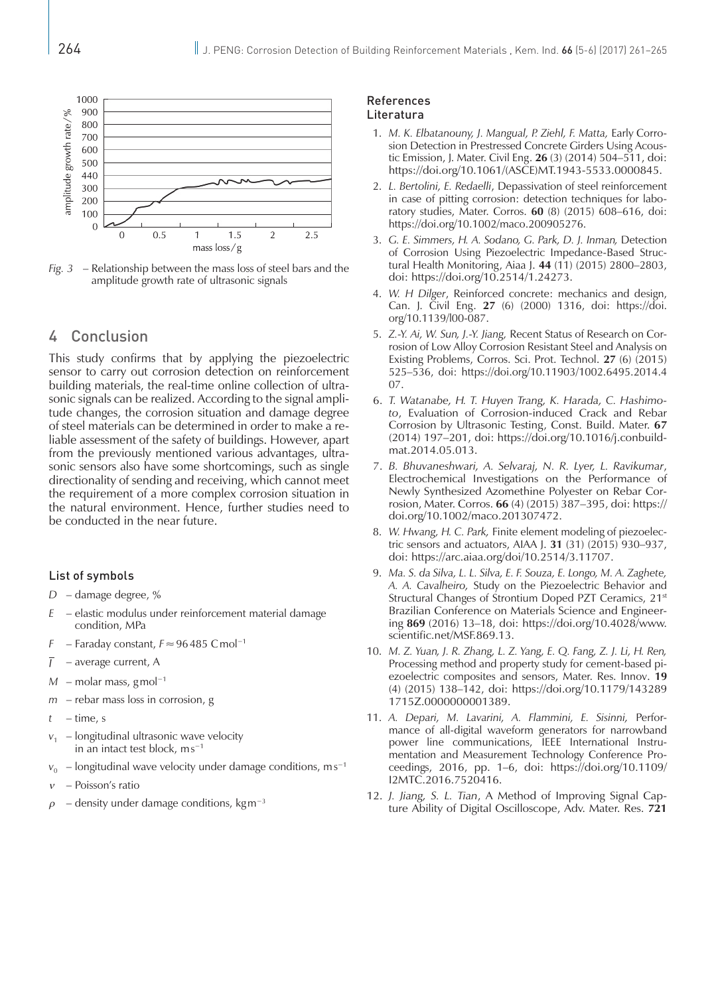

*Fig. 3* – Relationship between the mass loss of steel bars and the amplitude growth rate of ultrasonic signals

# 4 Conclusion

This study confirms that by applying the piezoelectric sensor to carry out corrosion detection on reinforcement building materials, the real-time online collection of ultrasonic signals can be realized. According to the signal amplitude changes, the corrosion situation and damage degree of steel materials can be determined in order to make a reliable assessment of the safety of buildings. However, apart from the previously mentioned various advantages, ultrasonic sensors also have some shortcomings, such as single directionality of sending and receiving, which cannot meet the requirement of a more complex corrosion situation in the natural environment. Hence, further studies need to be conducted in the near future.

#### List of symbols

- *D* damage degree, %
- *E* elastic modulus under reinforcement material damage condition, MPa
- *F* Faraday constant, *F*≈96485 Cmol−1
- $\overline{I}$ – average current, A
- *M* molar mass, gmol<sup>-1</sup>
- *m* rebar mass loss in corrosion, g
- *t* time, s
- $v_1$  longitudinal ultrasonic wave velocity in an intact test block, ms<sup>-1</sup>
- *v*<sub>0</sub> longitudinal wave velocity under damage conditions, ms<sup>-1</sup>
- *ν* Poisson's ratio
- *–* density under damage conditions, kgm<sup>−3</sup>

#### References Literatura

- 1. M. K. Elbatanouny, J. Mangual, P. Ziehl, F. Matta, Early Corrosion Detection in Prestressed Concrete Girders Using Acoustic Emission, J. Mater. Civil Eng. **26** (3) (2014) 504–511, doi: https://doi.org/10.1061/(ASCE)MT.1943-5533.0000845.
- 2. *L. Bertolini, E. Redaelli*, Depassivation of steel reinforcement in case of pitting corrosion: detection techniques for laboratory studies, Mater. Corros. **60** (8) (2015) 608–616, doi: <https://doi.org/10.1002/maco.200905276>.
- 3. *G. E. Simmers, H. A. Sodano, G. Park, D. J. Inman,* Detection of Corrosion Using Piezoelectric Impedance-Based Structural Health Monitoring, Aiaa J. **44** (11) (2015) 2800–2803, doi: <https://doi.org/10.2514/1.24273>.
- 4. *W. H Dilger*, Reinforced concrete: mechanics and design, Can. J. Civil Eng. **27** (6) (2000) 1316, doi: [https://doi.](https://doi.org/10.1139/l00-087) [org/10.1139/l00-087](https://doi.org/10.1139/l00-087).
- 5. *Z.-Y. Ai, W. Sun, J.-Y. Jiang,* Recent Status of Research on Corrosion of Low Alloy Corrosion Resistant Steel and Analysis on Existing Problems, Corros. Sci. Prot. Technol. **27** (6) (2015) 525–536, doi: https://doi.org/10.11903/1002.6495.2014.4 07.
- 6. *T. Watanabe, H. T. Huyen Trang, K. Harada, C. Hashimoto*, Evaluation of Corrosion-induced Crack and Rebar Corrosion by Ultrasonic Testing, Const. Build. Mater. **67** (2014) 197–201, doi: [https://doi.org/10.1016/j.conbuild](https://doi.org/10.1016/j.conbuildmat.2014.05.013)[mat.2014.05.013](https://doi.org/10.1016/j.conbuildmat.2014.05.013).
- 7. *B. Bhuvaneshwari, A. Selvaraj, N. R. Lyer, L. Ravikumar*, Electrochemical Investigations on the Performance of Newly Synthesized Azomethine Polyester on Rebar Corrosion, Mater. Corros. **66** (4) (2015) 387–395, doi: [https://](https://doi.org/10.1002/maco.201307472) [doi.org/10.1002/maco.201307472.](https://doi.org/10.1002/maco.201307472)
- 8. *W. Hwang, H. C. Park,* Finite element modeling of piezoelectric sensors and actuators, AIAA J. **31** (31) (2015) 930–937, doi: [https://arc.aiaa.org/doi/10.2514/3.11707.](https://arc.aiaa.org/doi/10.2514/3.11707)
- 9. *Ma. S. da Silva, L. L. Silva, E. F. Souza, E. Longo, M. A. Zaghete, A. A. Cavalheiro,* Study on the Piezoelectric Behavior and Structural Changes of Strontium Doped PZT Ceramics, 21<sup>st</sup> Brazilian Conference on Materials Science and Engineering **869** (2016) 13–18, doi: [https://doi.org/10.4028/www.](https://doi.org/10.4028/www.scientific.net/MSF.869.13) [scientific.net/MSF.869.13](https://doi.org/10.4028/www.scientific.net/MSF.869.13).
- 10. *M. Z. Yuan, J. R. Zhang, L. Z. Yang, E. Q. Fang, Z. J. Li, H. Ren,*  Processing method and property study for cement-based piezoelectric composites and sensors, Mater. Res. Innov. **19**  (4) (2015) 138–142, doi: [https://doi.org/10.1179/143289](https://doi.org/10.1179/1432891715Z.0000000001389) [1715Z.0000000001389.](https://doi.org/10.1179/1432891715Z.0000000001389)
- 11. *A. Depari, M. Lavarini, A. Flammini, E. Sisinni,* Performance of all-digital waveform generators for narrowband power line communications, IEEE International Instrumentation and Measurement Technology Conference Proceedings, 2016, pp. 1–6, doi: https://doi.org/10.1109/ I2MTC.2016.7520416.
- 12. *J. Jiang, S. L. Tian*, A Method of Improving Signal Capture Ability of Digital Oscilloscope, Adv. Mater. Res. **721**